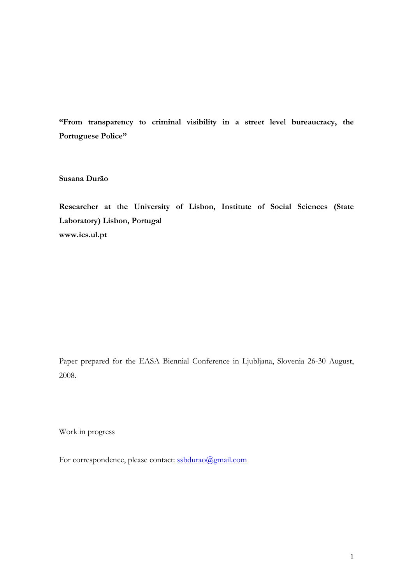**"From transparency to criminal visibility in a street level bureaucracy, the Portuguese Police"** 

**Susana Durão** 

**Researcher at the University of Lisbon, Institute of Social Sciences (State Laboratory) Lisbon, Portugal www.ics.ul.pt** 

Paper prepared for the EASA Biennial Conference in Ljubljana, Slovenia 26-30 August, 2008.

Work in progress

For correspondence, please contact: [ssbdurao@gmail.com](mailto:ssbdurao@gmail.com)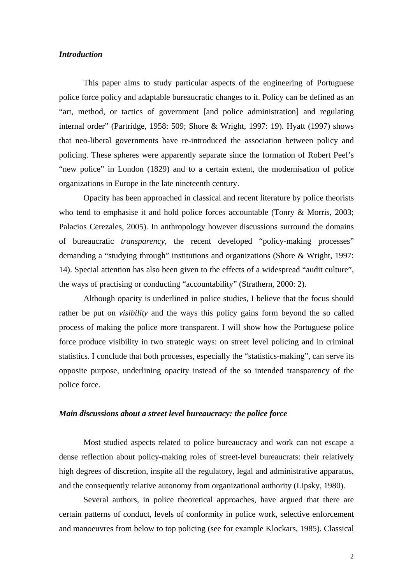## *Introduction*

This paper aims to study particular aspects of the engineering of Portuguese police force policy and adaptable bureaucratic changes to it. Policy can be defined as an "art, method, or tactics of government [and police administration] and regulating internal order" (Partridge, 1958: 509; Shore & Wright, 1997: 19). Hyatt (1997) shows that neo-liberal governments have re-introduced the association between policy and policing. These spheres were apparently separate since the formation of Robert Peel's "new police" in London (1829) and to a certain extent, the modernisation of police organizations in Europe in the late nineteenth century.

Opacity has been approached in classical and recent literature by police theorists who tend to emphasise it and hold police forces accountable (Tonry & Morris, 2003; Palacios Cerezales, 2005). In anthropology however discussions surround the domains of bureaucratic *transparency*, the recent developed "policy-making processes" demanding a "studying through" institutions and organizations (Shore & Wright, 1997: 14). Special attention has also been given to the effects of a widespread "audit culture", the ways of practising or conducting "accountability" (Strathern, 2000: 2).

Although opacity is underlined in police studies, I believe that the focus should rather be put on *visibility* and the ways this policy gains form beyond the so called process of making the police more transparent. I will show how the Portuguese police force produce visibility in two strategic ways: on street level policing and in criminal statistics. I conclude that both processes, especially the "statistics-making", can serve its opposite purpose, underlining opacity instead of the so intended transparency of the police force.

## *Main discussions about a street level bureaucracy: the police force*

Most studied aspects related to police bureaucracy and work can not escape a dense reflection about policy-making roles of street-level bureaucrats: their relatively high degrees of discretion, inspite all the regulatory, legal and administrative apparatus, and the consequently relative autonomy from organizational authority (Lipsky, 1980).

Several authors, in police theoretical approaches, have argued that there are certain patterns of conduct, levels of conformity in police work, selective enforcement and manoeuvres from below to top policing (see for example Klockars, 1985). Classical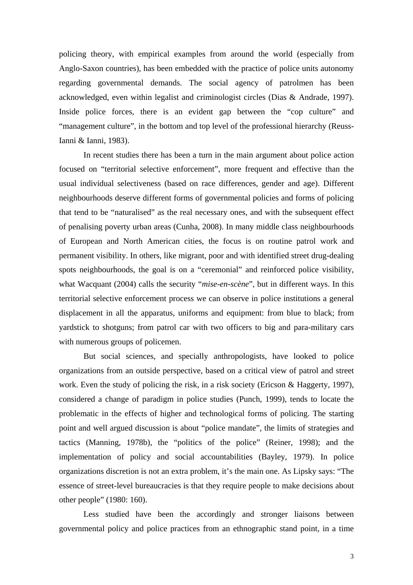policing theory, with empirical examples from around the world (especially from Anglo-Saxon countries), has been embedded with the practice of police units autonomy regarding governmental demands. The social agency of patrolmen has been acknowledged, even within legalist and criminologist circles (Dias & Andrade, 1997). Inside police forces, there is an evident gap between the "cop culture" and "management culture", in the bottom and top level of the professional hierarchy (Reuss-Ianni & Ianni, 1983).

In recent studies there has been a turn in the main argument about police action focused on "territorial selective enforcement", more frequent and effective than the usual individual selectiveness (based on race differences, gender and age). Different neighbourhoods deserve different forms of governmental policies and forms of policing that tend to be "naturalised" as the real necessary ones, and with the subsequent effect of penalising poverty urban areas (Cunha, 2008). In many middle class neighbourhoods of European and North American cities, the focus is on routine patrol work and permanent visibility. In others, like migrant, poor and with identified street drug-dealing spots neighbourhoods, the goal is on a "ceremonial" and reinforced police visibility, what Wacquant (2004) calls the security "*mise-en-scène*", but in different ways. In this territorial selective enforcement process we can observe in police institutions a general displacement in all the apparatus, uniforms and equipment: from blue to black; from yardstick to shotguns; from patrol car with two officers to big and para-military cars with numerous groups of policemen.

But social sciences, and specially anthropologists, have looked to police organizations from an outside perspective, based on a critical view of patrol and street work. Even the study of policing the risk, in a risk society (Ericson & Haggerty, 1997), considered a change of paradigm in police studies (Punch, 1999), tends to locate the problematic in the effects of higher and technological forms of policing. The starting point and well argued discussion is about "police mandate", the limits of strategies and tactics (Manning, 1978b), the "politics of the police" (Reiner, 1998); and the implementation of policy and social accountabilities (Bayley, 1979). In police organizations discretion is not an extra problem, it's the main one. As Lipsky says: "The essence of street-level bureaucracies is that they require people to make decisions about other people" (1980: 160).

Less studied have been the accordingly and stronger liaisons between governmental policy and police practices from an ethnographic stand point, in a time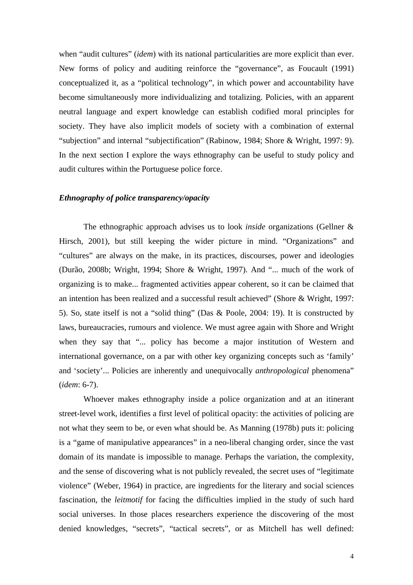when "audit cultures" *(idem)* with its national particularities are more explicit than ever. New forms of policy and auditing reinforce the "governance", as Foucault (1991) conceptualized it, as a "political technology", in which power and accountability have become simultaneously more individualizing and totalizing. Policies, with an apparent neutral language and expert knowledge can establish codified moral principles for society. They have also implicit models of society with a combination of external "subjection" and internal "subjectification" (Rabinow, 1984; Shore & Wright, 1997: 9). In the next section I explore the ways ethnography can be useful to study policy and audit cultures within the Portuguese police force.

### *Ethnography of police transparency/opacity*

The ethnographic approach advises us to look *inside* organizations (Gellner & Hirsch, 2001), but still keeping the wider picture in mind. "Organizations" and "cultures" are always on the make, in its practices, discourses, power and ideologies (Durão, 2008b; Wright, 1994; Shore & Wright, 1997). And "... much of the work of organizing is to make... fragmented activities appear coherent, so it can be claimed that an intention has been realized and a successful result achieved" (Shore & Wright, 1997: 5). So, state itself is not a "solid thing" (Das & Poole, 2004: 19). It is constructed by laws, bureaucracies, rumours and violence. We must agree again with Shore and Wright when they say that "... policy has become a major institution of Western and international governance, on a par with other key organizing concepts such as 'family' and 'society'... Policies are inherently and unequivocally *anthropological* phenomena" (*idem*: 6-7).

Whoever makes ethnography inside a police organization and at an itinerant street-level work, identifies a first level of political opacity: the activities of policing are not what they seem to be, or even what should be. As Manning (1978b) puts it: policing is a "game of manipulative appearances" in a neo-liberal changing order, since the vast domain of its mandate is impossible to manage. Perhaps the variation, the complexity, and the sense of discovering what is not publicly revealed, the secret uses of "legitimate violence" (Weber, 1964) in practice, are ingredients for the literary and social sciences fascination, the *leitmotif* for facing the difficulties implied in the study of such hard social universes. In those places researchers experience the discovering of the most denied knowledges, "secrets", "tactical secrets", or as Mitchell has well defined: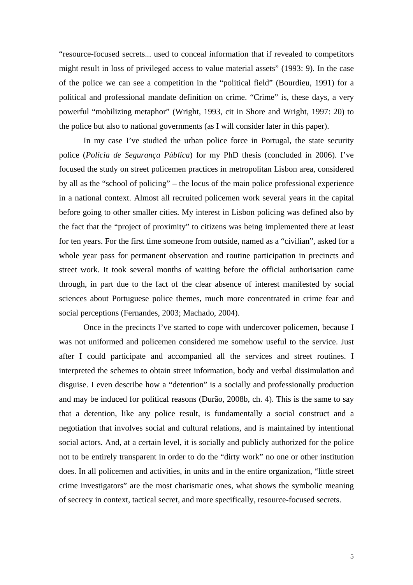"resource-focused secrets... used to conceal information that if revealed to competitors might result in loss of privileged access to value material assets" (1993: 9). In the case of the police we can see a competition in the "political field" (Bourdieu, 1991) for a political and professional mandate definition on crime. "Crime" is, these days, a very powerful "mobilizing metaphor" (Wright, 1993, cit in Shore and Wright, 1997: 20) to the police but also to national governments (as I will consider later in this paper).

In my case I've studied the urban police force in Portugal, the state security police (*Polícia de Segurança Pública*) for my PhD thesis (concluded in 2006). I've focused the study on street policemen practices in metropolitan Lisbon area, considered by all as the "school of policing" – the locus of the main police professional experience in a national context. Almost all recruited policemen work several years in the capital before going to other smaller cities. My interest in Lisbon policing was defined also by the fact that the "project of proximity" to citizens was being implemented there at least for ten years. For the first time someone from outside, named as a "civilian", asked for a whole year pass for permanent observation and routine participation in precincts and street work. It took several months of waiting before the official authorisation came through, in part due to the fact of the clear absence of interest manifested by social sciences about Portuguese police themes, much more concentrated in crime fear and social perceptions (Fernandes, 2003; Machado, 2004).

Once in the precincts I've started to cope with undercover policemen, because I was not uniformed and policemen considered me somehow useful to the service. Just after I could participate and accompanied all the services and street routines. I interpreted the schemes to obtain street information, body and verbal dissimulation and disguise. I even describe how a "detention" is a socially and professionally production and may be induced for political reasons (Durão, 2008b, ch. 4). This is the same to say that a detention, like any police result, is fundamentally a social construct and a negotiation that involves social and cultural relations, and is maintained by intentional social actors. And, at a certain level, it is socially and publicly authorized for the police not to be entirely transparent in order to do the "dirty work" no one or other institution does. In all policemen and activities, in units and in the entire organization, "little street crime investigators" are the most charismatic ones, what shows the symbolic meaning of secrecy in context, tactical secret, and more specifically, resource-focused secrets.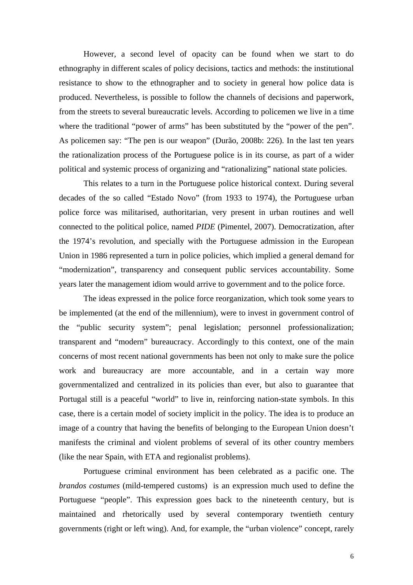However, a second level of opacity can be found when we start to do ethnography in different scales of policy decisions, tactics and methods: the institutional resistance to show to the ethnographer and to society in general how police data is produced. Nevertheless, is possible to follow the channels of decisions and paperwork, from the streets to several bureaucratic levels. According to policemen we live in a time where the traditional "power of arms" has been substituted by the "power of the pen". As policemen say: "The pen is our weapon" (Durão, 2008b: 226). In the last ten years the rationalization process of the Portuguese police is in its course, as part of a wider political and systemic process of organizing and "rationalizing" national state policies.

This relates to a turn in the Portuguese police historical context. During several decades of the so called "Estado Novo" (from 1933 to 1974), the Portuguese urban police force was militarised, authoritarian, very present in urban routines and well connected to the political police, named *PIDE* (Pimentel, 2007). Democratization, after the 1974's revolution, and specially with the Portuguese admission in the European Union in 1986 represented a turn in police policies, which implied a general demand for "modernization", transparency and consequent public services accountability. Some years later the management idiom would arrive to government and to the police force.

The ideas expressed in the police force reorganization, which took some years to be implemented (at the end of the millennium), were to invest in government control of the "public security system"; penal legislation; personnel professionalization; transparent and "modern" bureaucracy. Accordingly to this context, one of the main concerns of most recent national governments has been not only to make sure the police work and bureaucracy are more accountable, and in a certain way more governmentalized and centralized in its policies than ever, but also to guarantee that Portugal still is a peaceful "world" to live in, reinforcing nation-state symbols. In this case, there is a certain model of society implicit in the policy. The idea is to produce an image of a country that having the benefits of belonging to the European Union doesn't manifests the criminal and violent problems of several of its other country members (like the near Spain, with ETA and regionalist problems).

Portuguese criminal environment has been celebrated as a pacific one. The *brandos costumes* (mild-tempered customs) is an expression much used to define the Portuguese "people". This expression goes back to the nineteenth century, but is maintained and rhetorically used by several contemporary twentieth century governments (right or left wing). And, for example, the "urban violence" concept, rarely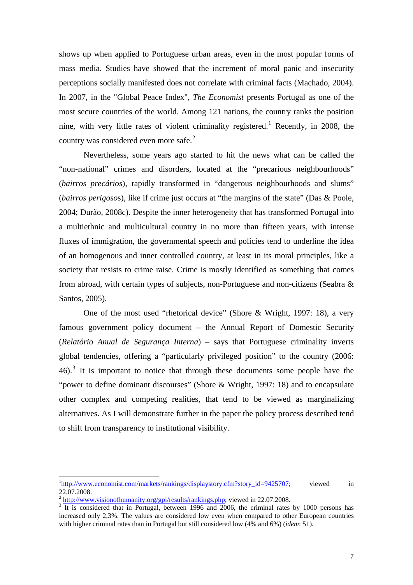shows up when applied to Portuguese urban areas, even in the most popular forms of mass media. Studies have showed that the increment of moral panic and insecurity perceptions socially manifested does not correlate with criminal facts (Machado, 2004). In 2007, in the "Global Peace Index", *The Economist* presents Portugal as one of the most secure countries of the world. Among 121 nations, the country ranks the position nine, with very little rates of violent criminality registered.<sup>[1](#page-6-0)</sup> Recently, in 2008, the country was considered even more safe. $2$ 

Nevertheless, some years ago started to hit the news what can be called the "non-national" crimes and disorders, located at the "precarious neighbourhoods" (*bairros precários*), rapidly transformed in "dangerous neighbourhoods and slums" (*bairros perigoso*s), like if crime just occurs at "the margins of the state" (Das & Poole, 2004; Durão, 2008c). Despite the inner heterogeneity that has transformed Portugal into a multiethnic and multicultural country in no more than fifteen years, with intense fluxes of immigration, the governmental speech and policies tend to underline the idea of an homogenous and inner controlled country, at least in its moral principles, like a society that resists to crime raise. Crime is mostly identified as something that comes from abroad, with certain types of subjects, non-Portuguese and non-citizens (Seabra & Santos, 2005).

One of the most used "rhetorical device" (Shore & Wright, 1997: 18), a very famous government policy document – the Annual Report of Domestic Security (*Relatório Anual de Segurança Interna*) – says that Portuguese criminality inverts global tendencies, offering a "particularly privileged position" to the country (2006:  $46$ ).<sup>[3](#page-6-2)</sup> It is important to notice that through these documents some people have the "power to define dominant discourses" (Shore & Wright, 1997: 18) and to encapsulate other complex and competing realities, that tend to be viewed as marginalizing alternatives. As I will demonstrate further in the paper the policy process described tend to shift from transparency to institutional visibility.

<span id="page-6-0"></span><sup>&</sup>lt;sup>1</sup>[http://www.economist.com/markets/rankings/displaystory.cfm?story\\_id=9425707](http://www.economist.com/markets/rankings/displaystory.cfm?story_id=9425707); viewed in 22.07.2008.

<sup>&</sup>lt;sup>2</sup> <http://www.visionofhumanity.org/gpi/results/rankings.php>; viewed in 22.07.2008.

<span id="page-6-2"></span><span id="page-6-1"></span><sup>&</sup>lt;sup>3</sup> It is considered that in Portugal, between 1996 and 2006, the criminal rates by 1000 persons has increased only 2,3%. The values are considered low even when compared to other European countries with higher criminal rates than in Portugal but still considered low (4% and 6%) (*idem*: 51).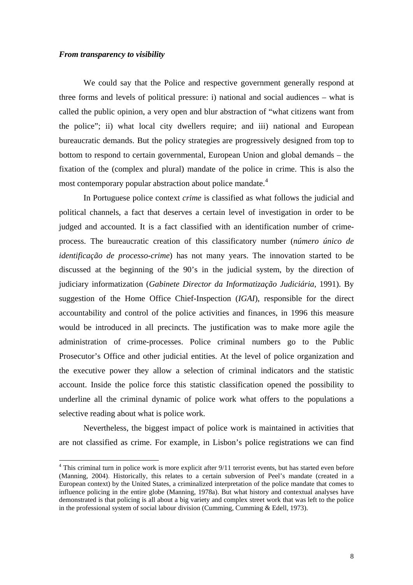### *From transparency to visibility*

-

We could say that the Police and respective government generally respond at three forms and levels of political pressure: i) national and social audiences – what is called the public opinion, a very open and blur abstraction of "what citizens want from the police"; ii) what local city dwellers require; and iii) national and European bureaucratic demands. But the policy strategies are progressively designed from top to bottom to respond to certain governmental, European Union and global demands – the fixation of the (complex and plural) mandate of the police in crime. This is also the most contemporary popular abstraction about police mandate.<sup>[4](#page-7-0)</sup>

 In Portuguese police context *crime* is classified as what follows the judicial and political channels, a fact that deserves a certain level of investigation in order to be judged and accounted. It is a fact classified with an identification number of crimeprocess. The bureaucratic creation of this classificatory number (*número único de identificação de processo-crime*) has not many years. The innovation started to be discussed at the beginning of the 90's in the judicial system, by the direction of judiciary informatization (*Gabinete Director da Informatização Judiciária*, 1991). By suggestion of the Home Office Chief-Inspection (*IGAI*), responsible for the direct accountability and control of the police activities and finances, in 1996 this measure would be introduced in all precincts. The justification was to make more agile the administration of crime-processes. Police criminal numbers go to the Public Prosecutor's Office and other judicial entities. At the level of police organization and the executive power they allow a selection of criminal indicators and the statistic account. Inside the police force this statistic classification opened the possibility to underline all the criminal dynamic of police work what offers to the populations a selective reading about what is police work.

Nevertheless, the biggest impact of police work is maintained in activities that are not classified as crime. For example, in Lisbon's police registrations we can find

<span id="page-7-0"></span><sup>&</sup>lt;sup>4</sup> This criminal turn in police work is more explicit after 9/11 terrorist events, but has started even before (Manning, 2004). Historically, this relates to a certain subversion of Peel's mandate (created in a European context) by the United States, a criminalized interpretation of the police mandate that comes to influence policing in the entire globe (Manning, 1978a). But what history and contextual analyses have demonstrated is that policing is all about a big variety and complex street work that was left to the police in the professional system of social labour division (Cumming, Cumming & Edell, 1973).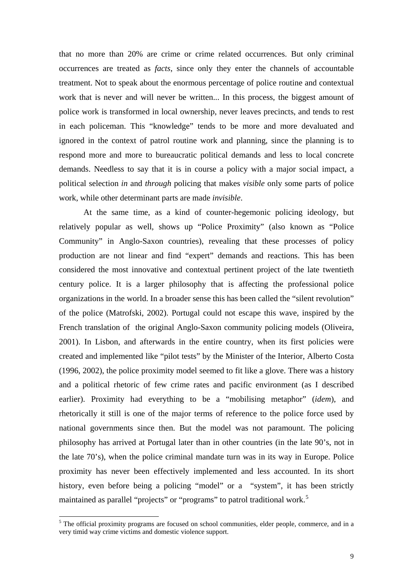that no more than 20% are crime or crime related occurrences. But only criminal occurrences are treated as *facts*, since only they enter the channels of accountable treatment. Not to speak about the enormous percentage of police routine and contextual work that is never and will never be written... In this process, the biggest amount of police work is transformed in local ownership, never leaves precincts, and tends to rest in each policeman. This "knowledge" tends to be more and more devaluated and ignored in the context of patrol routine work and planning, since the planning is to respond more and more to bureaucratic political demands and less to local concrete demands. Needless to say that it is in course a policy with a major social impact, a political selection *in* and *through* policing that makes *visible* only some parts of police work, while other determinant parts are made *invisible*.

At the same time, as a kind of counter-hegemonic policing ideology, but relatively popular as well, shows up "Police Proximity" (also known as "Police Community" in Anglo-Saxon countries), revealing that these processes of policy production are not linear and find "expert" demands and reactions. This has been considered the most innovative and contextual pertinent project of the late twentieth century police. It is a larger philosophy that is affecting the professional police organizations in the world. In a broader sense this has been called the "silent revolution" of the police (Matrofski, 2002). Portugal could not escape this wave, inspired by the French translation of the original Anglo-Saxon community policing models (Oliveira, 2001). In Lisbon, and afterwards in the entire country, when its first policies were created and implemented like "pilot tests" by the Minister of the Interior, Alberto Costa (1996, 2002), the police proximity model seemed to fit like a glove. There was a history and a political rhetoric of few crime rates and pacific environment (as I described earlier). Proximity had everything to be a "mobilising metaphor" (*idem*), and rhetorically it still is one of the major terms of reference to the police force used by national governments since then. But the model was not paramount. The policing philosophy has arrived at Portugal later than in other countries (in the late 90's, not in the late 70's), when the police criminal mandate turn was in its way in Europe. Police proximity has never been effectively implemented and less accounted. In its short history, even before being a policing "model" or a "system", it has been strictly maintained as parallel "projects" or "programs" to patrol traditional work.<sup>[5](#page-8-0)</sup>

-

<span id="page-8-0"></span><sup>&</sup>lt;sup>5</sup> The official proximity programs are focused on school communities, elder people, commerce, and in a very timid way crime victims and domestic violence support.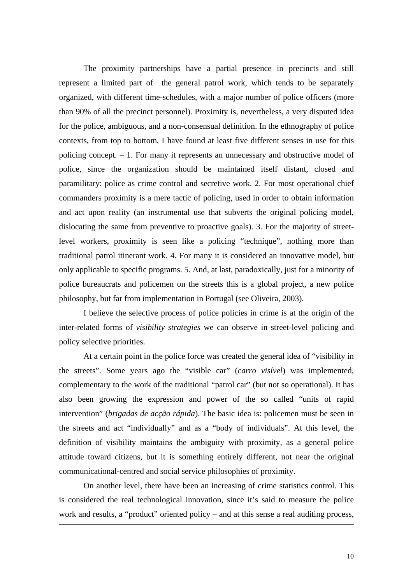The proximity partnerships have a partial presence in precincts and still represent a limited part of the general patrol work, which tends to be separately organized, with different time-schedules, with a major number of police officers (more than 90% of all the precinct personnel). Proximity is, nevertheless, a very disputed idea for the police, ambiguous, and a non-consensual definition. In the ethnography of police contexts, from top to bottom, I have found at least five different senses in use for this policing concept. – 1. For many it represents an unnecessary and obstructive model of police, since the organization should be maintained itself distant, closed and paramilitary: police as crime control and secretive work. 2. For most operational chief commanders proximity is a mere tactic of policing, used in order to obtain information and act upon reality (an instrumental use that subverts the original policing model, dislocating the same from preventive to proactive goals). 3. For the majority of streetlevel workers, proximity is seen like a policing "technique", nothing more than traditional patrol itinerant work. 4. For many it is considered an innovative model, but only applicable to specific programs. 5. And, at last, paradoxically, just for a minority of police bureaucrats and policemen on the streets this is a global project, a new police philosophy, but far from implementation in Portugal (see Oliveira, 2003).

I believe the selective process of police policies in crime is at the origin of the inter-related forms of *visibility strategies* we can observe in street-level policing and policy selective priorities.

At a certain point in the police force was created the general idea of "visibility in the streets". Some years ago the "visible car" (*carro visível*) was implemented, complementary to the work of the traditional "patrol car" (but not so operational). It has also been growing the expression and power of the so called "units of rapid intervention" (*brigadas de acção rápida*). The basic idea is: policemen must be seen in the streets and act "individually" and as a "body of individuals". At this level, the definition of visibility maintains the ambiguity with proximity, as a general police attitude toward citizens, but it is something entirely different, not near the original communicational-centred and social service philosophies of proximity.

On another level, there have been an increasing of crime statistics control. This is considered the real technological innovation, since it's said to measure the police work and results, a "product" oriented policy – and at this sense a real auditing process,

-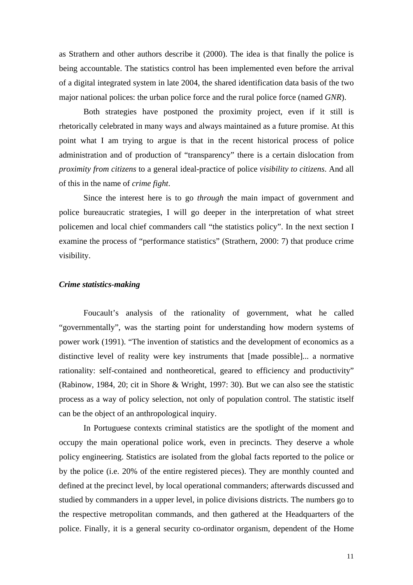as Strathern and other authors describe it (2000). The idea is that finally the police is being accountable. The statistics control has been implemented even before the arrival of a digital integrated system in late 2004, the shared identification data basis of the two major national polices: the urban police force and the rural police force (named *GNR*).

Both strategies have postponed the proximity project, even if it still is rhetorically celebrated in many ways and always maintained as a future promise. At this point what I am trying to argue is that in the recent historical process of police administration and of production of "transparency" there is a certain dislocation from *proximity from citizens* to a general ideal-practice of police *visibility to citizens*. And all of this in the name of *crime fight*.

Since the interest here is to go *through* the main impact of government and police bureaucratic strategies, I will go deeper in the interpretation of what street policemen and local chief commanders call "the statistics policy". In the next section I examine the process of "performance statistics" (Strathern, 2000: 7) that produce crime visibility.

# *Crime statistics-making*

Foucault's analysis of the rationality of government, what he called "governmentally", was the starting point for understanding how modern systems of power work (1991). "The invention of statistics and the development of economics as a distinctive level of reality were key instruments that [made possible]... a normative rationality: self-contained and nontheoretical, geared to efficiency and productivity" (Rabinow, 1984, 20; cit in Shore & Wright, 1997: 30). But we can also see the statistic process as a way of policy selection, not only of population control. The statistic itself can be the object of an anthropological inquiry.

In Portuguese contexts criminal statistics are the spotlight of the moment and occupy the main operational police work, even in precincts. They deserve a whole policy engineering. Statistics are isolated from the global facts reported to the police or by the police (i.e. 20% of the entire registered pieces). They are monthly counted and defined at the precinct level, by local operational commanders; afterwards discussed and studied by commanders in a upper level, in police divisions districts. The numbers go to the respective metropolitan commands, and then gathered at the Headquarters of the police. Finally, it is a general security co-ordinator organism, dependent of the Home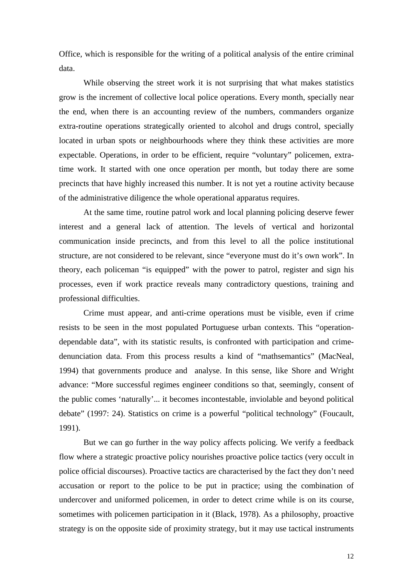Office, which is responsible for the writing of a political analysis of the entire criminal data.

While observing the street work it is not surprising that what makes statistics grow is the increment of collective local police operations. Every month, specially near the end, when there is an accounting review of the numbers, commanders organize extra-routine operations strategically oriented to alcohol and drugs control, specially located in urban spots or neighbourhoods where they think these activities are more expectable. Operations, in order to be efficient, require "voluntary" policemen, extratime work. It started with one once operation per month, but today there are some precincts that have highly increased this number. It is not yet a routine activity because of the administrative diligence the whole operational apparatus requires.

At the same time, routine patrol work and local planning policing deserve fewer interest and a general lack of attention. The levels of vertical and horizontal communication inside precincts, and from this level to all the police institutional structure, are not considered to be relevant, since "everyone must do it's own work". In theory, each policeman "is equipped" with the power to patrol, register and sign his processes, even if work practice reveals many contradictory questions, training and professional difficulties.

 Crime must appear, and anti-crime operations must be visible, even if crime resists to be seen in the most populated Portuguese urban contexts. This "operationdependable data", with its statistic results, is confronted with participation and crimedenunciation data. From this process results a kind of "mathsemantics" (MacNeal, 1994) that governments produce and analyse. In this sense, like Shore and Wright advance: "More successful regimes engineer conditions so that, seemingly, consent of the public comes 'naturally'... it becomes incontestable, inviolable and beyond political debate" (1997: 24). Statistics on crime is a powerful "political technology" (Foucault, 1991).

But we can go further in the way policy affects policing. We verify a feedback flow where a strategic proactive policy nourishes proactive police tactics (very occult in police official discourses). Proactive tactics are characterised by the fact they don't need accusation or report to the police to be put in practice; using the combination of undercover and uniformed policemen, in order to detect crime while is on its course, sometimes with policemen participation in it (Black, 1978). As a philosophy, proactive strategy is on the opposite side of proximity strategy, but it may use tactical instruments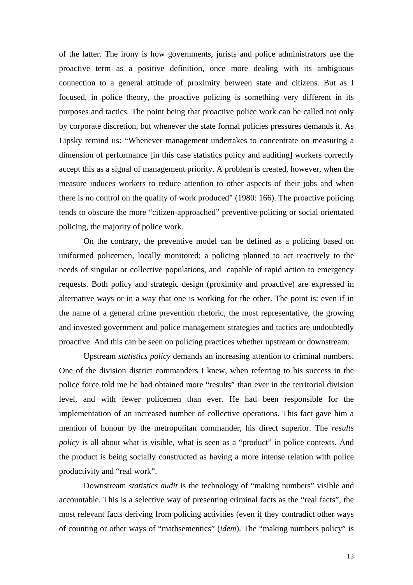of the latter. The irony is how governments, jurists and police administrators use the proactive term as a positive definition, once more dealing with its ambiguous connection to a general attitude of proximity between state and citizens. But as I focused, in police theory, the proactive policing is something very different in its purposes and tactics. The point being that proactive police work can be called not only by corporate discretion, but whenever the state formal policies pressures demands it. As Lipsky remind us: "Whenever management undertakes to concentrate on measuring a dimension of performance [in this case statistics policy and auditing] workers correctly accept this as a signal of management priority. A problem is created, however, when the measure induces workers to reduce attention to other aspects of their jobs and when there is no control on the quality of work produced" (1980: 166). The proactive policing tends to obscure the more "citizen-approached" preventive policing or social orientated policing, the majority of police work.

On the contrary, the preventive model can be defined as a policing based on uniformed policemen, locally monitored; a policing planned to act reactively to the needs of singular or collective populations, and capable of rapid action to emergency requests. Both policy and strategic design (proximity and proactive) are expressed in alternative ways or in a way that one is working for the other. The point is: even if in the name of a general crime prevention rhetoric, the most representative, the growing and invested government and police management strategies and tactics are undoubtedly proactive. And this can be seen on policing practices whether upstream or downstream.

Upstream *statistics policy* demands an increasing attention to criminal numbers. One of the division district commanders I knew, when referring to his success in the police force told me he had obtained more "results" than ever in the territorial division level, and with fewer policemen than ever. He had been responsible for the implementation of an increased number of collective operations. This fact gave him a mention of honour by the metropolitan commander, his direct superior. The *results policy* is all about what is visible, what is seen as a "product" in police contexts. And the product is being socially constructed as having a more intense relation with police productivity and "real work".

Downstream *statistics audit* is the technology of "making numbers" visible and accountable. This is a selective way of presenting criminal facts as the "real facts", the most relevant facts deriving from policing activities (even if they contradict other ways of counting or other ways of "mathsementics" (*idem*). The "making numbers policy" is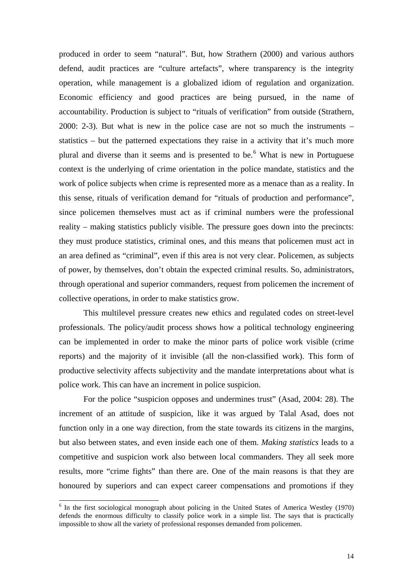produced in order to seem "natural". But, how Strathern (2000) and various authors defend, audit practices are "culture artefacts", where transparency is the integrity operation, while management is a globalized idiom of regulation and organization. Economic efficiency and good practices are being pursued, in the name of accountability. Production is subject to "rituals of verification" from outside (Strathern, 2000: 2-3). But what is new in the police case are not so much the instruments – statistics – but the patterned expectations they raise in a activity that it's much more plural and diverse than it seems and is presented to be.<sup>[6](#page-13-0)</sup> What is new in Portuguese context is the underlying of crime orientation in the police mandate, statistics and the work of police subjects when crime is represented more as a menace than as a reality. In this sense, rituals of verification demand for "rituals of production and performance", since policemen themselves must act as if criminal numbers were the professional reality – making statistics publicly visible. The pressure goes down into the precincts: they must produce statistics, criminal ones, and this means that policemen must act in an area defined as "criminal", even if this area is not very clear. Policemen, as subjects of power, by themselves, don't obtain the expected criminal results. So, administrators, through operational and superior commanders, request from policemen the increment of collective operations, in order to make statistics grow.

This multilevel pressure creates new ethics and regulated codes on street-level professionals. The policy/audit process shows how a political technology engineering can be implemented in order to make the minor parts of police work visible (crime reports) and the majority of it invisible (all the non-classified work). This form of productive selectivity affects subjectivity and the mandate interpretations about what is police work. This can have an increment in police suspicion.

For the police "suspicion opposes and undermines trust" (Asad, 2004: 28). The increment of an attitude of suspicion, like it was argued by Talal Asad, does not function only in a one way direction, from the state towards its citizens in the margins, but also between states, and even inside each one of them. *Making statistics* leads to a competitive and suspicion work also between local commanders. They all seek more results, more "crime fights" than there are. One of the main reasons is that they are honoured by superiors and can expect career compensations and promotions if they

-

<span id="page-13-0"></span> $6$  In the first sociological monograph about policing in the United States of America Westley (1970) defends the enormous difficulty to classify police work in a simple list. The says that is practically impossible to show all the variety of professional responses demanded from policemen.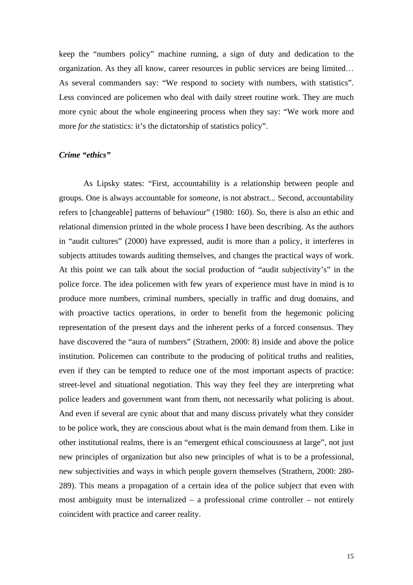keep the "numbers policy" machine running, a sign of duty and dedication to the organization. As they all know, career resources in public services are being limited… As several commanders say: "We respond to society with numbers, with statistics". Less convinced are policemen who deal with daily street routine work. They are much more cynic about the whole engineering process when they say: "We work more and more *for the* statistics: it's the dictatorship of statistics policy".

# *Crime "ethics"*

As Lipsky states: "First, accountability is a relationship between people and groups. One is always accountable for *someone*, is not abstract... Second, accountability refers to [changeable] patterns of behaviour" (1980: 160). So, there is also an ethic and relational dimension printed in the whole process I have been describing. As the authors in "audit cultures" (2000) have expressed, audit is more than a policy, it interferes in subjects attitudes towards auditing themselves, and changes the practical ways of work. At this point we can talk about the social production of "audit subjectivity's" in the police force. The idea policemen with few years of experience must have in mind is to produce more numbers, criminal numbers, specially in traffic and drug domains, and with proactive tactics operations, in order to benefit from the hegemonic policing representation of the present days and the inherent perks of a forced consensus. They have discovered the "aura of numbers" (Strathern, 2000: 8) inside and above the police institution. Policemen can contribute to the producing of political truths and realities, even if they can be tempted to reduce one of the most important aspects of practice: street-level and situational negotiation. This way they feel they are interpreting what police leaders and government want from them, not necessarily what policing is about. And even if several are cynic about that and many discuss privately what they consider to be police work, they are conscious about what is the main demand from them. Like in other institutional realms, there is an "emergent ethical consciousness at large", not just new principles of organization but also new principles of what is to be a professional, new subjectivities and ways in which people govern themselves (Strathern, 2000: 280- 289). This means a propagation of a certain idea of the police subject that even with most ambiguity must be internalized – a professional crime controller – not entirely coincident with practice and career reality.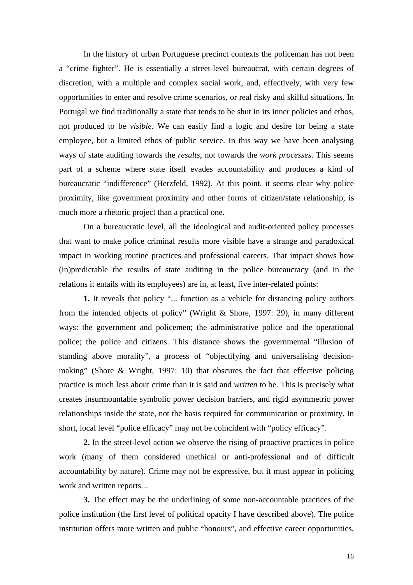In the history of urban Portuguese precinct contexts the policeman has not been a "crime fighter". He is essentially a street-level bureaucrat, with certain degrees of discretion, with a multiple and complex social work, and, effectively, with very few opportunities to enter and resolve crime scenarios, or real risky and skilful situations. In Portugal we find traditionally a state that tends to be shut in its inner policies and ethos, not produced to be *visible*. We can easily find a logic and desire for being a state employee, but a limited ethos of public service. In this way we have been analysing ways of state auditing towards the *results*, not towards the *work processes*. This seems part of a scheme where state itself evades accountability and produces a kind of bureaucratic "indifference" (Herzfeld, 1992). At this point, it seems clear why police proximity, like government proximity and other forms of citizen/state relationship, is much more a rhetoric project than a practical one.

On a bureaucratic level, all the ideological and audit-oriented policy processes that want to make police criminal results more visible have a strange and paradoxical impact in working routine practices and professional careers. That impact shows how (in)predictable the results of state auditing in the police bureaucracy (and in the relations it entails with its employees) are in, at least, five inter-related points:

**1.** It reveals that policy "... function as a vehicle for distancing policy authors from the intended objects of policy" (Wright & Shore, 1997: 29), in many different ways: the government and policemen; the administrative police and the operational police; the police and citizens. This distance shows the governmental "illusion of standing above morality", a process of "objectifying and universalising decisionmaking" (Shore & Wright, 1997: 10) that obscures the fact that effective policing practice is much less about crime than it is said and *written* to be. This is precisely what creates insurmountable symbolic power decision barriers, and rigid asymmetric power relationships inside the state, not the basis required for communication or proximity. In short, local level "police efficacy" may not be coincident with "policy efficacy".

**2.** In the street-level action we observe the rising of proactive practices in police work (many of them considered unethical or anti-professional and of difficult accountability by nature). Crime may not be expressive, but it must appear in policing work and written reports...

**3.** The effect may be the underlining of some non-accountable practices of the police institution (the first level of political opacity I have described above). The police institution offers more written and public "honours", and effective career opportunities,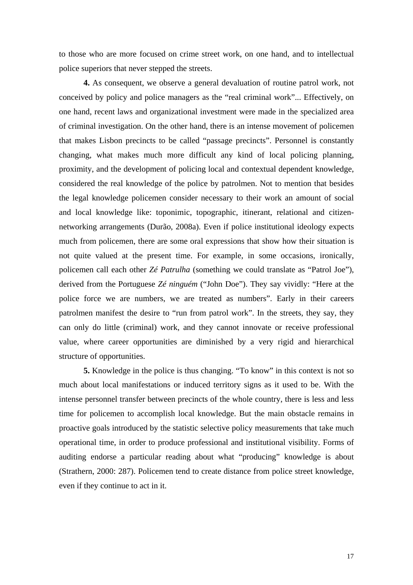to those who are more focused on crime street work, on one hand, and to intellectual police superiors that never stepped the streets.

**4.** As consequent, we observe a general devaluation of routine patrol work, not conceived by policy and police managers as the "real criminal work"... Effectively, on one hand, recent laws and organizational investment were made in the specialized area of criminal investigation. On the other hand, there is an intense movement of policemen that makes Lisbon precincts to be called "passage precincts". Personnel is constantly changing, what makes much more difficult any kind of local policing planning, proximity, and the development of policing local and contextual dependent knowledge, considered the real knowledge of the police by patrolmen. Not to mention that besides the legal knowledge policemen consider necessary to their work an amount of social and local knowledge like: toponimic, topographic, itinerant, relational and citizennetworking arrangements (Durão, 2008a). Even if police institutional ideology expects much from policemen, there are some oral expressions that show how their situation is not quite valued at the present time. For example, in some occasions, ironically, policemen call each other *Zé Patrulha* (something we could translate as "Patrol Joe"), derived from the Portuguese *Zé ninguém* ("John Doe"). They say vividly: "Here at the police force we are numbers, we are treated as numbers". Early in their careers patrolmen manifest the desire to "run from patrol work". In the streets, they say, they can only do little (criminal) work, and they cannot innovate or receive professional value, where career opportunities are diminished by a very rigid and hierarchical structure of opportunities.

**5.** Knowledge in the police is thus changing. "To know" in this context is not so much about local manifestations or induced territory signs as it used to be. With the intense personnel transfer between precincts of the whole country, there is less and less time for policemen to accomplish local knowledge. But the main obstacle remains in proactive goals introduced by the statistic selective policy measurements that take much operational time, in order to produce professional and institutional visibility. Forms of auditing endorse a particular reading about what "producing" knowledge is about (Strathern, 2000: 287). Policemen tend to create distance from police street knowledge, even if they continue to act in it.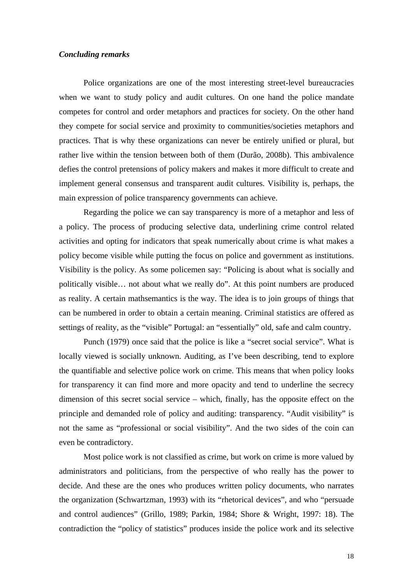# *Concluding remarks*

Police organizations are one of the most interesting street-level bureaucracies when we want to study policy and audit cultures. On one hand the police mandate competes for control and order metaphors and practices for society. On the other hand they compete for social service and proximity to communities/societies metaphors and practices. That is why these organizations can never be entirely unified or plural, but rather live within the tension between both of them (Durão, 2008b). This ambivalence defies the control pretensions of policy makers and makes it more difficult to create and implement general consensus and transparent audit cultures. Visibility is, perhaps, the main expression of police transparency governments can achieve.

Regarding the police we can say transparency is more of a metaphor and less of a policy. The process of producing selective data, underlining crime control related activities and opting for indicators that speak numerically about crime is what makes a policy become visible while putting the focus on police and government as institutions. Visibility is the policy. As some policemen say: "Policing is about what is socially and politically visible… not about what we really do". At this point numbers are produced as reality. A certain mathsemantics is the way. The idea is to join groups of things that can be numbered in order to obtain a certain meaning. Criminal statistics are offered as settings of reality, as the "visible" Portugal: an "essentially" old, safe and calm country.

Punch (1979) once said that the police is like a "secret social service". What is locally viewed is socially unknown. Auditing, as I've been describing, tend to explore the quantifiable and selective police work on crime. This means that when policy looks for transparency it can find more and more opacity and tend to underline the secrecy dimension of this secret social service – which, finally, has the opposite effect on the principle and demanded role of policy and auditing: transparency. "Audit visibility" is not the same as "professional or social visibility". And the two sides of the coin can even be contradictory.

Most police work is not classified as crime, but work on crime is more valued by administrators and politicians, from the perspective of who really has the power to decide. And these are the ones who produces written policy documents, who narrates the organization (Schwartzman, 1993) with its "rhetorical devices", and who "persuade and control audiences" (Grillo, 1989; Parkin, 1984; Shore & Wright, 1997: 18). The contradiction the "policy of statistics" produces inside the police work and its selective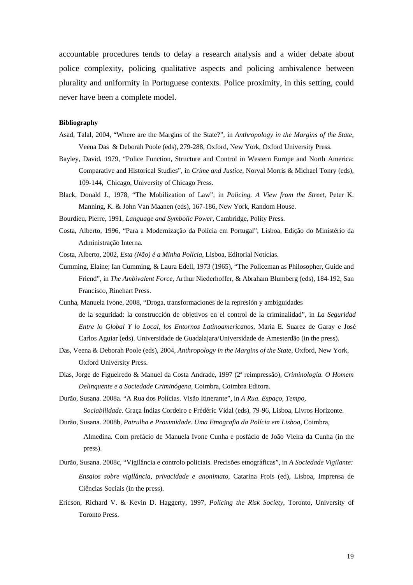accountable procedures tends to delay a research analysis and a wider debate about police complexity, policing qualitative aspects and policing ambivalence between plurality and uniformity in Portuguese contexts. Police proximity, in this setting, could never have been a complete model.

#### **Bibliography**

- Asad, Talal, 2004, "Where are the Margins of the State?", in *Anthropology in the Margins of the State*, Veena Das & Deborah Poole (eds), 279-288, Oxford, New York, Oxford University Press.
- Bayley, David, 1979, "Police Function, Structure and Control in Western Europe and North America: Comparative and Historical Studies", in *Crime and Justice*, Norval Morris & Michael Tonry (eds), 109-144, Chicago, University of Chicago Press.
- Black, Donald J., 1978, "The Mobilization of Law", in *Policing. A View from the Street*, Peter K. Manning, K. & John Van Maanen (eds), 167-186, New York, Random House.
- Bourdieu, Pierre, 1991, *Language and Symbolic Power*, Cambridge, Polity Press.
- Costa, Alberto, 1996, "Para a Modernização da Polícia em Portugal", Lisboa, Edição do Ministério da Administração Interna.
- Costa, Alberto, 2002, *Esta (Não) é a Minha Polícia*, Lisboa, Editorial Notícias.
- Cumming, Elaine; Ian Cumming, & Laura Edell, 1973 (1965), "The Policeman as Philosopher, Guide and Friend", in *The Ambivalent Force*, Arthur Niederhoffer, & Abraham Blumberg (eds), 184-192, San Francisco, Rinehart Press.
- Cunha, Manuela Ivone, 2008, "Droga, transformaciones de la represión y ambiguidades de la seguridad: la construcción de objetivos en el control de la criminalidad", in *La Seguridad Entre lo Global Y lo Local, los Entornos Latinoamericanos*, Maria E. Suarez de Garay e José Carlos Aguiar (eds). Universidade de Guadalajara/Universidade de Amesterdão (in the press).
- Das, Veena & Deborah Poole (eds), 2004, *Anthropology in the Margins of the State*, Oxford, New York, Oxford University Press.
- Dias, Jorge de Figueiredo & Manuel da Costa Andrade, 1997 (2ª reimpressão), *Criminologia. O Homem Delinquente e a Sociedade Criminógena*, Coimbra, Coimbra Editora.
- Durão, Susana. 2008a. "A Rua dos Polícias. Visão Itinerante", in *A Rua. Espaço, Tempo, Sociabilidade*. Graça Índias Cordeiro e Frédéric Vidal (eds), 79-96, Lisboa, Livros Horizonte.
- Durão, Susana. 2008b, *Patrulha e Proximidade. Uma Etnografia da Polícia em Lisboa*, Coimbra,
	- Almedina. Com prefácio de Manuela Ivone Cunha e posfácio de João Vieira da Cunha (in the press).
- Durão, Susana. 2008c, "Vigilância e controlo policiais. Precisões etnográficas", in *A Sociedade Vigilante: Ensaios sobre vigilância, privacidade e anonimato*, Catarina Frois (ed), Lisboa, Imprensa de Ciências Sociais (in the press).
- Ericson, Richard V. & Kevin D. Haggerty, 1997, *Policing the Risk Society*, Toronto, University of Toronto Press.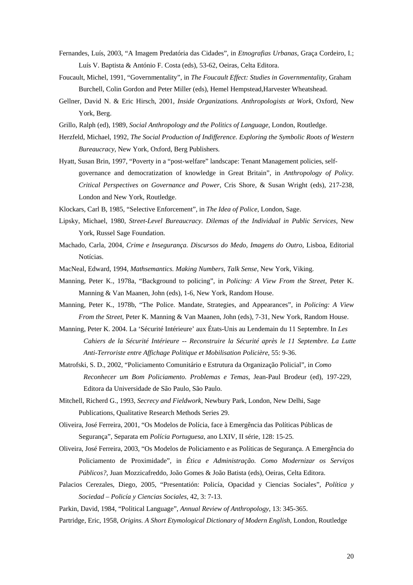- Fernandes, Luís, 2003, "A Imagem Predatória das Cidades", in *Etnografias Urbanas*, Graça Cordeiro, I.; Luís V. Baptista & António F. Costa (eds), 53-62, Oeiras, Celta Editora.
- Foucault, Michel, 1991, "Governmentality", in *The Foucault Effect: Studies in Governmentality*, Graham Burchell, Colin Gordon and Peter Miller (eds), Hemel Hempstead,Harvester Wheatshead.
- Gellner, David N. & Eric Hirsch, 2001, *Inside Organizations. Anthropologists at Work*, Oxford, New York, Berg.
- Grillo, Ralph (ed), 1989, *Social Anthropology and the Politics of Language*, London, Routledge.
- Herzfeld, Michael, 1992, *The Social Production of Indifference. Exploring the Symbolic Roots of Western Bureaucracy*, New York, Oxford, Berg Publishers.
- Hyatt, Susan Brin, 1997, "Poverty in a "post-welfare" landscape: Tenant Management policies, selfgovernance and democratization of knowledge in Great Britain", in *Anthropology of Policy. Critical Perspectives on Governance and Power*, Cris Shore, & Susan Wright (eds), 217-238, London and New York, Routledge.
- Klockars, Carl B, 1985, "Selective Enforcement", in *The Idea of Police*, London, Sage.
- Lipsky, Michael, 1980, *Street-Level Bureaucracy. Dilemas of the Individual in Public Services*, New York, Russel Sage Foundation.
- Machado, Carla, 2004, *Crime e Insegurança. Discursos do Medo, Imagens do Outro*, Lisboa, Editorial Notícias.
- MacNeal, Edward, 1994, *Mathsemantics. Making Numbers, Talk Sense*, New York, Viking.
- Manning, Peter K., 1978a, "Background to policing", in *Policing: A View From the Street*, Peter K. Manning & Van Maanen, John (eds), 1-6, New York, Random House.
- Manning, Peter K., 1978b, "The Police. Mandate, Strategies, and Appearances", in *Policing: A View From the Street*, Peter K. Manning & Van Maanen, John (eds), 7-31, New York, Random House.
- Manning, Peter K. 2004. La 'Sécurité Intérieure' aux États-Unis au Lendemain du 11 Septembre. In *Les Cahiers de la Sécurité Intérieure* -- *Reconstruire la Sécurité après le 11 Septembre. La Lutte Anti-Terroriste entre Affichage Politique et Mobilisation Policière*, 55: 9-36.
- Matrofski, S. D., 2002, "Policiamento Comunitário e Estrutura da Organização Policial", in *Como Reconhecer um Bom Policiamento. Problemas e Temas*, Jean-Paul Brodeur (ed), 197-229, Editora da Universidade de São Paulo, São Paulo.
- Mitchell, Richerd G., 1993, *Secrecy and Fieldwork*, Newbury Park, London, New Delhi, Sage Publications, Qualitative Research Methods Series 29.
- Oliveira, José Ferreira, 2001, "Os Modelos de Polícia, face à Emergência das Políticas Públicas de Segurança", Separata em *Polícia Portuguesa*, ano LXIV, II série, 128: 15-25.
- Oliveira, José Ferreira, 2003, "Os Modelos de Policiamento e as Políticas de Segurança. A Emergência do Policiamento de Proximidade", in *Ética e Administração. Como Modernizar os Serviços Públicos?*, Juan Mozzicafreddo, João Gomes & João Batista (eds), Oeiras, Celta Editora.
- Palacios Cerezales, Diego, 2005, "Presentatión: Policía, Opacidad y Ciencias Sociales", *Política y Sociedad – Policía y Ciencias Sociales*, 42, 3: 7-13.

Parkin, David, 1984, "Political Language", *Annual Review of Anthropology*, 13: 345-365.

Partridge, Eric, 1958, *Origins. A Short Etymological Dictionary of Modern English*, London, Routledge